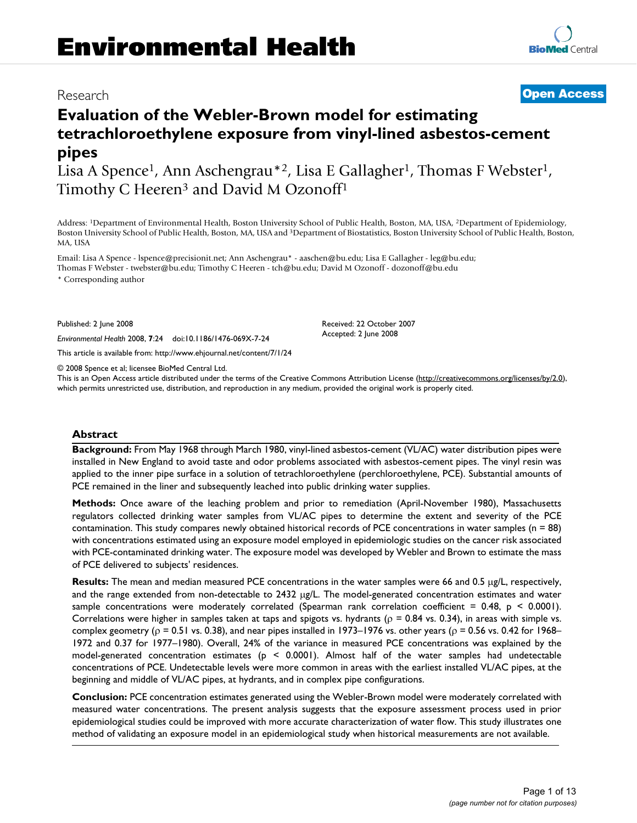# Research **[Open Access](http://www.biomedcentral.com/info/about/charter/)**

# **Evaluation of the Webler-Brown model for estimating tetrachloroethylene exposure from vinyl-lined asbestos-cement pipes**

Lisa A Spence<sup>1</sup>, Ann Aschengrau<sup>\*2</sup>, Lisa E Gallagher<sup>1</sup>, Thomas F Webster<sup>1</sup>, Timothy C Heeren<sup>3</sup> and David M Ozonoff<sup>1</sup>

Address: 1Department of Environmental Health, Boston University School of Public Health, Boston, MA, USA, 2Department of Epidemiology, Boston University School of Public Health, Boston, MA, USA and 3Department of Biostatistics, Boston University School of Public Health, Boston, MA, USA

Email: Lisa A Spence - lspence@precisionit.net; Ann Aschengrau\* - aaschen@bu.edu; Lisa E Gallagher - leg@bu.edu; Thomas F Webster - twebster@bu.edu; Timothy C Heeren - tch@bu.edu; David M Ozonoff - dozonoff@bu.edu

\* Corresponding author

Published: 2 June 2008

*Environmental Health* 2008, **7**:24 doi:10.1186/1476-069X-7-24

[This article is available from: http://www.ehjournal.net/content/7/1/24](http://www.ehjournal.net/content/7/1/24)

© 2008 Spence et al; licensee BioMed Central Ltd.

This is an Open Access article distributed under the terms of the Creative Commons Attribution License [\(http://creativecommons.org/licenses/by/2.0\)](http://creativecommons.org/licenses/by/2.0), which permits unrestricted use, distribution, and reproduction in any medium, provided the original work is properly cited.

Received: 22 October 2007 Accepted: 2 June 2008

# **Abstract**

**Background:** From May 1968 through March 1980, vinyl-lined asbestos-cement (VL/AC) water distribution pipes were installed in New England to avoid taste and odor problems associated with asbestos-cement pipes. The vinyl resin was applied to the inner pipe surface in a solution of tetrachloroethylene (perchloroethylene, PCE). Substantial amounts of PCE remained in the liner and subsequently leached into public drinking water supplies.

**Methods:** Once aware of the leaching problem and prior to remediation (April-November 1980), Massachusetts regulators collected drinking water samples from VL/AC pipes to determine the extent and severity of the PCE contamination. This study compares newly obtained historical records of PCE concentrations in water samples (n = 88) with concentrations estimated using an exposure model employed in epidemiologic studies on the cancer risk associated with PCE-contaminated drinking water. The exposure model was developed by Webler and Brown to estimate the mass of PCE delivered to subjects' residences.

**Results:** The mean and median measured PCE concentrations in the water samples were 66 and 0.5 μg/L, respectively, and the range extended from non-detectable to 2432 μg/L. The model-generated concentration estimates and water sample concentrations were moderately correlated (Spearman rank correlation coefficient = 0.48,  $p < 0.0001$ ). Correlations were higher in samples taken at taps and spigots vs. hydrants ( $\rho = 0.84$  vs. 0.34), in areas with simple vs. complex geometry ( $\rho$  = 0.51 vs. 0.38), and near pipes installed in 1973–1976 vs. other years ( $\rho$  = 0.56 vs. 0.42 for 1968– 1972 and 0.37 for 1977–1980). Overall, 24% of the variance in measured PCE concentrations was explained by the model-generated concentration estimates (p < 0.0001). Almost half of the water samples had undetectable concentrations of PCE. Undetectable levels were more common in areas with the earliest installed VL/AC pipes, at the beginning and middle of VL/AC pipes, at hydrants, and in complex pipe configurations.

**Conclusion:** PCE concentration estimates generated using the Webler-Brown model were moderately correlated with measured water concentrations. The present analysis suggests that the exposure assessment process used in prior epidemiological studies could be improved with more accurate characterization of water flow. This study illustrates one method of validating an exposure model in an epidemiological study when historical measurements are not available.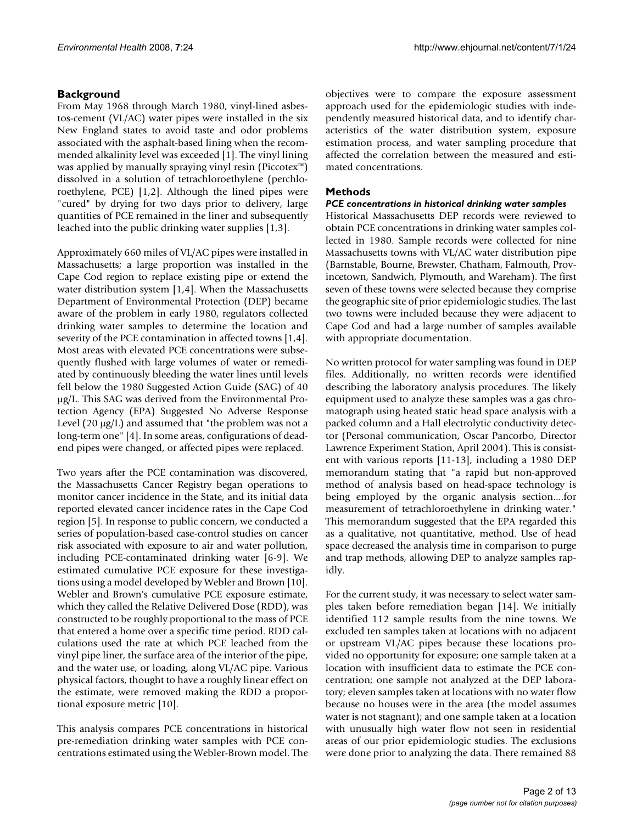# **Background**

From May 1968 through March 1980, vinyl-lined asbestos-cement (VL/AC) water pipes were installed in the six New England states to avoid taste and odor problems associated with the asphalt-based lining when the recommended alkalinity level was exceeded [1]. The vinyl lining was applied by manually spraying vinyl resin (Piccotex™) dissolved in a solution of tetrachloroethylene (perchloroethylene, PCE) [1,2]. Although the lined pipes were "cured" by drying for two days prior to delivery, large quantities of PCE remained in the liner and subsequently leached into the public drinking water supplies [1,3].

Approximately 660 miles of VL/AC pipes were installed in Massachusetts; a large proportion was installed in the Cape Cod region to replace existing pipe or extend the water distribution system [1,4]. When the Massachusetts Department of Environmental Protection (DEP) became aware of the problem in early 1980, regulators collected drinking water samples to determine the location and severity of the PCE contamination in affected towns [1,4]. Most areas with elevated PCE concentrations were subsequently flushed with large volumes of water or remediated by continuously bleeding the water lines until levels fell below the 1980 Suggested Action Guide (SAG) of 40 μg/L. This SAG was derived from the Environmental Protection Agency (EPA) Suggested No Adverse Response Level  $(20 \mu g/L)$  and assumed that "the problem was not a long-term one" [4]. In some areas, configurations of deadend pipes were changed, or affected pipes were replaced.

Two years after the PCE contamination was discovered, the Massachusetts Cancer Registry began operations to monitor cancer incidence in the State, and its initial data reported elevated cancer incidence rates in the Cape Cod region [5]. In response to public concern, we conducted a series of population-based case-control studies on cancer risk associated with exposure to air and water pollution, including PCE-contaminated drinking water [6-9]. We estimated cumulative PCE exposure for these investigations using a model developed by Webler and Brown [10]. Webler and Brown's cumulative PCE exposure estimate, which they called the Relative Delivered Dose (RDD), was constructed to be roughly proportional to the mass of PCE that entered a home over a specific time period. RDD calculations used the rate at which PCE leached from the vinyl pipe liner, the surface area of the interior of the pipe, and the water use, or loading, along VL/AC pipe. Various physical factors, thought to have a roughly linear effect on the estimate, were removed making the RDD a proportional exposure metric [10].

This analysis compares PCE concentrations in historical pre-remediation drinking water samples with PCE concentrations estimated using the Webler-Brown model. The objectives were to compare the exposure assessment approach used for the epidemiologic studies with independently measured historical data, and to identify characteristics of the water distribution system, exposure estimation process, and water sampling procedure that affected the correlation between the measured and estimated concentrations.

# **Methods**

# *PCE concentrations in historical drinking water samples*

Historical Massachusetts DEP records were reviewed to obtain PCE concentrations in drinking water samples collected in 1980. Sample records were collected for nine Massachusetts towns with VL/AC water distribution pipe (Barnstable, Bourne, Brewster, Chatham, Falmouth, Provincetown, Sandwich, Plymouth, and Wareham). The first seven of these towns were selected because they comprise the geographic site of prior epidemiologic studies. The last two towns were included because they were adjacent to Cape Cod and had a large number of samples available with appropriate documentation.

No written protocol for water sampling was found in DEP files. Additionally, no written records were identified describing the laboratory analysis procedures. The likely equipment used to analyze these samples was a gas chromatograph using heated static head space analysis with a packed column and a Hall electrolytic conductivity detector (Personal communication, Oscar Pancorbo, Director Lawrence Experiment Station, April 2004). This is consistent with various reports [11-13], including a 1980 DEP memorandum stating that "a rapid but non-approved method of analysis based on head-space technology is being employed by the organic analysis section....for measurement of tetrachloroethylene in drinking water." This memorandum suggested that the EPA regarded this as a qualitative, not quantitative, method. Use of head space decreased the analysis time in comparison to purge and trap methods, allowing DEP to analyze samples rapidly.

For the current study, it was necessary to select water samples taken before remediation began [14]. We initially identified 112 sample results from the nine towns. We excluded ten samples taken at locations with no adjacent or upstream VL/AC pipes because these locations provided no opportunity for exposure; one sample taken at a location with insufficient data to estimate the PCE concentration; one sample not analyzed at the DEP laboratory; eleven samples taken at locations with no water flow because no houses were in the area (the model assumes water is not stagnant); and one sample taken at a location with unusually high water flow not seen in residential areas of our prior epidemiologic studies. The exclusions were done prior to analyzing the data. There remained 88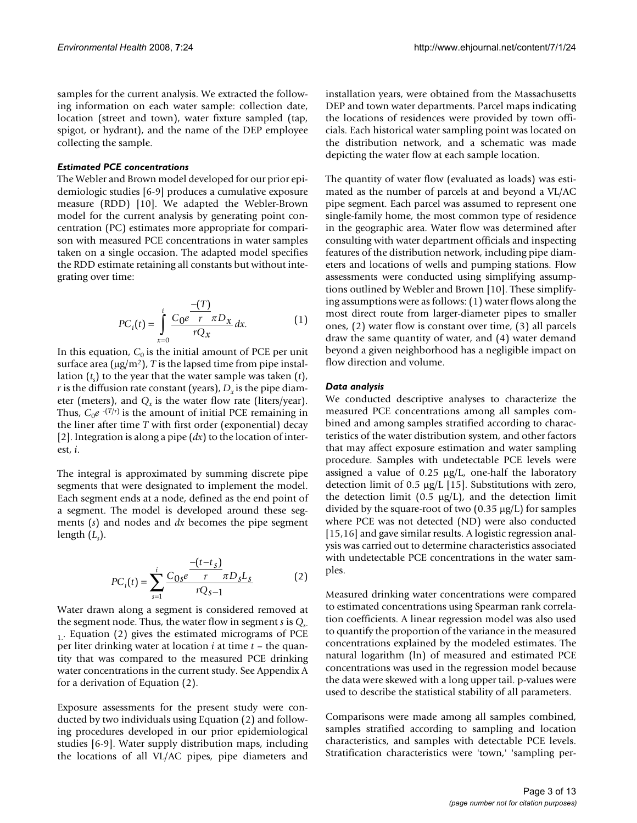samples for the current analysis. We extracted the following information on each water sample: collection date, location (street and town), water fixture sampled (tap, spigot, or hydrant), and the name of the DEP employee collecting the sample.

### *Estimated PCE concentrations*

The Webler and Brown model developed for our prior epidemiologic studies [6-9] produces a cumulative exposure measure (RDD) [10]. We adapted the Webler-Brown model for the current analysis by generating point concentration (PC) estimates more appropriate for comparison with measured PCE concentrations in water samples taken on a single occasion. The adapted model specifies the RDD estimate retaining all constants but without integrating over time:

$$
PC_{i}(t) = \int_{x=0}^{i} \frac{(-T)}{rQ_{x}} dx.
$$
 (1)

In this equation,  $C_0$  is the initial amount of PCE per unit surface area  $(\mu g/m^2)$ , *T* is the lapsed time from pipe installation (*ts* ) to the year that the water sample was taken (*t*), *r* is the diffusion rate constant (years),  $D<sub>x</sub>$  is the pipe diameter (meters), and  $Q<sub>x</sub>$  is the water flow rate (liters/year). Thus,  $C_0e^{-(T/r)}$  is the amount of initial PCE remaining in the liner after time *T* with first order (exponential) decay [2]. Integration is along a pipe (*dx*) to the location of interest, *i*.

The integral is approximated by summing discrete pipe segments that were designated to implement the model. Each segment ends at a node, defined as the end point of a segment. The model is developed around these segments (*s*) and nodes and *dx* becomes the pipe segment length (*Ls* ).

$$
PC_i(t) = \sum_{s=1}^{i} \frac{C_{0s}e^{-\frac{(t-t_s)}{r}} \pi D_s L_s}{rQ_{s-1}}
$$
 (2)

Water drawn along a segment is considered removed at the segment node. Thus, the water flow in segment *s* is *Q*<sub>c</sub>  $<sub>1</sub>$ . Equation (2) gives the estimated micrograms of PCE</sub> per liter drinking water at location *i* at time *t* – the quantity that was compared to the measured PCE drinking water concentrations in the current study. See Appendix A for a derivation of Equation (2).

Exposure assessments for the present study were conducted by two individuals using Equation (2) and following procedures developed in our prior epidemiological studies [6-9]. Water supply distribution maps, including the locations of all VL/AC pipes, pipe diameters and

installation years, were obtained from the Massachusetts DEP and town water departments. Parcel maps indicating the locations of residences were provided by town officials. Each historical water sampling point was located on the distribution network, and a schematic was made depicting the water flow at each sample location.

The quantity of water flow (evaluated as loads) was estimated as the number of parcels at and beyond a VL/AC pipe segment. Each parcel was assumed to represent one single-family home, the most common type of residence in the geographic area. Water flow was determined after consulting with water department officials and inspecting features of the distribution network, including pipe diameters and locations of wells and pumping stations. Flow assessments were conducted using simplifying assumptions outlined by Webler and Brown [10]. These simplifying assumptions were as follows: (1) water flows along the most direct route from larger-diameter pipes to smaller ones, (2) water flow is constant over time, (3) all parcels draw the same quantity of water, and (4) water demand beyond a given neighborhood has a negligible impact on flow direction and volume.

#### *Data analysis*

We conducted descriptive analyses to characterize the measured PCE concentrations among all samples combined and among samples stratified according to characteristics of the water distribution system, and other factors that may affect exposure estimation and water sampling procedure. Samples with undetectable PCE levels were assigned a value of 0.25 μg/L, one-half the laboratory detection limit of 0.5 μg/L [15]. Substitutions with zero, the detection limit (0.5  $\mu$ g/L), and the detection limit divided by the square-root of two (0.35 μg/L) for samples where PCE was not detected (ND) were also conducted [15,16] and gave similar results. A logistic regression analysis was carried out to determine characteristics associated with undetectable PCE concentrations in the water samples.

Measured drinking water concentrations were compared to estimated concentrations using Spearman rank correlation coefficients. A linear regression model was also used to quantify the proportion of the variance in the measured concentrations explained by the modeled estimates. The natural logarithm (ln) of measured and estimated PCE concentrations was used in the regression model because the data were skewed with a long upper tail. p-values were used to describe the statistical stability of all parameters.

Comparisons were made among all samples combined, samples stratified according to sampling and location characteristics, and samples with detectable PCE levels. Stratification characteristics were 'town,' 'sampling per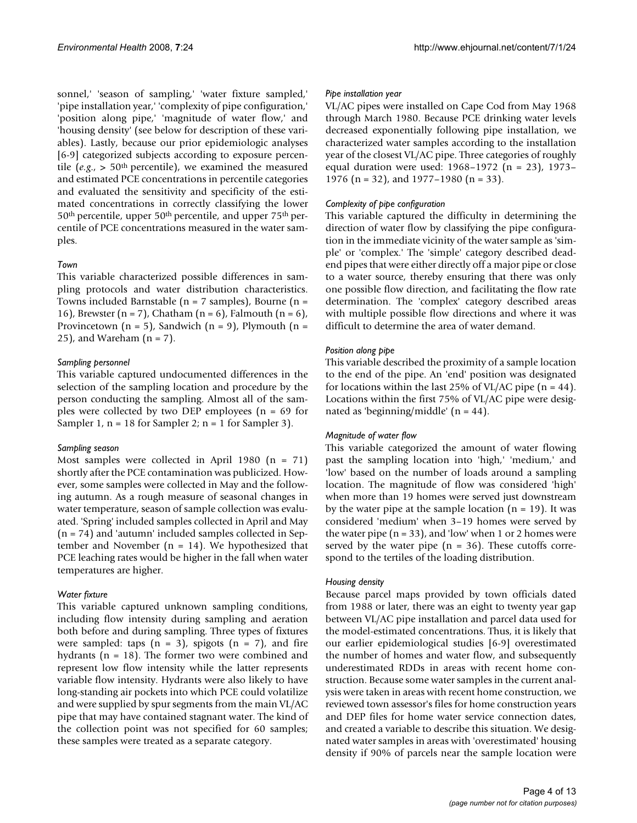sonnel,' 'season of sampling,' 'water fixture sampled,' 'pipe installation year,' 'complexity of pipe configuration,' 'position along pipe,' 'magnitude of water flow,' and 'housing density' (see below for description of these variables). Lastly, because our prior epidemiologic analyses [6-9] categorized subjects according to exposure percentile ( $e.g., > 50$ <sup>th</sup> percentile), we examined the measured and estimated PCE concentrations in percentile categories and evaluated the sensitivity and specificity of the estimated concentrations in correctly classifying the lower 50th percentile, upper 50th percentile, and upper 75th percentile of PCE concentrations measured in the water samples.

#### *Town*

This variable characterized possible differences in sampling protocols and water distribution characteristics. Towns included Barnstable ( $n = 7$  samples), Bourne ( $n =$ 16), Brewster  $(n = 7)$ , Chatham  $(n = 6)$ , Falmouth  $(n = 6)$ , Provincetown ( $n = 5$ ), Sandwich ( $n = 9$ ), Plymouth ( $n = 1$ ) 25), and Wareham  $(n = 7)$ .

#### *Sampling personnel*

This variable captured undocumented differences in the selection of the sampling location and procedure by the person conducting the sampling. Almost all of the samples were collected by two DEP employees (n = 69 for Sampler 1,  $n = 18$  for Sampler 2;  $n = 1$  for Sampler 3).

#### *Sampling season*

Most samples were collected in April 1980  $(n = 71)$ shortly after the PCE contamination was publicized. However, some samples were collected in May and the following autumn. As a rough measure of seasonal changes in water temperature, season of sample collection was evaluated. 'Spring' included samples collected in April and May (n = 74) and 'autumn' included samples collected in September and November  $(n = 14)$ . We hypothesized that PCE leaching rates would be higher in the fall when water temperatures are higher.

#### *Water fixture*

This variable captured unknown sampling conditions, including flow intensity during sampling and aeration both before and during sampling. Three types of fixtures were sampled: taps  $(n = 3)$ , spigots  $(n = 7)$ , and fire hydrants ( $n = 18$ ). The former two were combined and represent low flow intensity while the latter represents variable flow intensity. Hydrants were also likely to have long-standing air pockets into which PCE could volatilize and were supplied by spur segments from the main VL/AC pipe that may have contained stagnant water. The kind of the collection point was not specified for 60 samples; these samples were treated as a separate category.

#### *Pipe installation year*

VL/AC pipes were installed on Cape Cod from May 1968 through March 1980. Because PCE drinking water levels decreased exponentially following pipe installation, we characterized water samples according to the installation year of the closest VL/AC pipe. Three categories of roughly equal duration were used: 1968–1972 (n = 23), 1973– 1976 (n = 32), and 1977–1980 (n = 33).

#### *Complexity of pipe configuration*

This variable captured the difficulty in determining the direction of water flow by classifying the pipe configuration in the immediate vicinity of the water sample as 'simple' or 'complex.' The 'simple' category described deadend pipes that were either directly off a major pipe or close to a water source, thereby ensuring that there was only one possible flow direction, and facilitating the flow rate determination. The 'complex' category described areas with multiple possible flow directions and where it was difficult to determine the area of water demand.

#### *Position along pipe*

This variable described the proximity of a sample location to the end of the pipe. An 'end' position was designated for locations within the last 25% of VL/AC pipe ( $n = 44$ ). Locations within the first 75% of VL/AC pipe were designated as 'beginning/middle'  $(n = 44)$ .

#### *Magnitude of water flow*

This variable categorized the amount of water flowing past the sampling location into 'high,' 'medium,' and 'low' based on the number of loads around a sampling location. The magnitude of flow was considered 'high' when more than 19 homes were served just downstream by the water pipe at the sample location  $(n = 19)$ . It was considered 'medium' when 3–19 homes were served by the water pipe  $(n = 33)$ , and 'low' when 1 or 2 homes were served by the water pipe  $(n = 36)$ . These cutoffs correspond to the tertiles of the loading distribution.

#### *Housing density*

Because parcel maps provided by town officials dated from 1988 or later, there was an eight to twenty year gap between VL/AC pipe installation and parcel data used for the model-estimated concentrations. Thus, it is likely that our earlier epidemiological studies [6-9] overestimated the number of homes and water flow, and subsequently underestimated RDDs in areas with recent home construction. Because some water samples in the current analysis were taken in areas with recent home construction, we reviewed town assessor's files for home construction years and DEP files for home water service connection dates, and created a variable to describe this situation. We designated water samples in areas with 'overestimated' housing density if 90% of parcels near the sample location were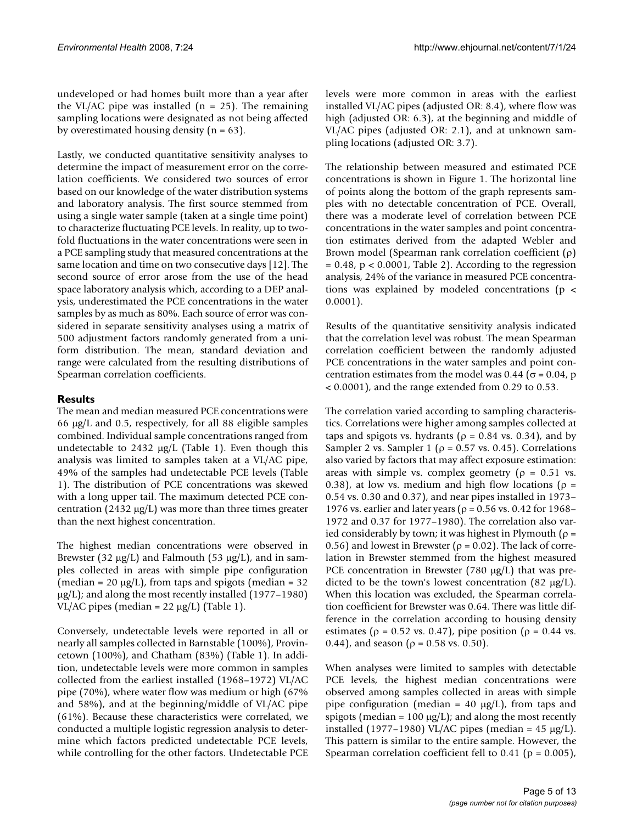undeveloped or had homes built more than a year after the VL/AC pipe was installed  $(n = 25)$ . The remaining sampling locations were designated as not being affected by overestimated housing density  $(n = 63)$ .

Lastly, we conducted quantitative sensitivity analyses to determine the impact of measurement error on the correlation coefficients. We considered two sources of error based on our knowledge of the water distribution systems and laboratory analysis. The first source stemmed from using a single water sample (taken at a single time point) to characterize fluctuating PCE levels. In reality, up to twofold fluctuations in the water concentrations were seen in a PCE sampling study that measured concentrations at the same location and time on two consecutive days [12]. The second source of error arose from the use of the head space laboratory analysis which, according to a DEP analysis, underestimated the PCE concentrations in the water samples by as much as 80%. Each source of error was considered in separate sensitivity analyses using a matrix of 500 adjustment factors randomly generated from a uniform distribution. The mean, standard deviation and range were calculated from the resulting distributions of Spearman correlation coefficients.

# **Results**

The mean and median measured PCE concentrations were 66 μg/L and 0.5, respectively, for all 88 eligible samples combined. Individual sample concentrations ranged from undetectable to 2432  $\mu$ g/L (Table 1). Even though this analysis was limited to samples taken at a VL/AC pipe, 49% of the samples had undetectable PCE levels (Table 1). The distribution of PCE concentrations was skewed with a long upper tail. The maximum detected PCE concentration (2432 μg/L) was more than three times greater than the next highest concentration.

The highest median concentrations were observed in Brewster (32 μg/L) and Falmouth (53 μg/L), and in samples collected in areas with simple pipe configuration (median = 20  $\mu$ g/L), from taps and spigots (median = 32  $\mu$ g/L); and along the most recently installed (1977–1980) VL/AC pipes (median =  $22 \mu g/L$ ) (Table 1).

Conversely, undetectable levels were reported in all or nearly all samples collected in Barnstable (100%), Provincetown (100%), and Chatham (83%) (Table 1). In addition, undetectable levels were more common in samples collected from the earliest installed (1968–1972) VL/AC pipe (70%), where water flow was medium or high (67% and 58%), and at the beginning/middle of VL/AC pipe (61%). Because these characteristics were correlated, we conducted a multiple logistic regression analysis to determine which factors predicted undetectable PCE levels, while controlling for the other factors. Undetectable PCE levels were more common in areas with the earliest installed VL/AC pipes (adjusted OR: 8.4), where flow was high (adjusted OR: 6.3), at the beginning and middle of VL/AC pipes (adjusted OR: 2.1), and at unknown sampling locations (adjusted OR: 3.7).

The relationship between measured and estimated PCE concentrations is shown in Figure 1. The horizontal line of points along the bottom of the graph represents samples with no detectable concentration of PCE. Overall, there was a moderate level of correlation between PCE concentrations in the water samples and point concentration estimates derived from the adapted Webler and Brown model (Spearman rank correlation coefficient (ρ)  $= 0.48$ ,  $p < 0.0001$ , Table 2). According to the regression analysis, 24% of the variance in measured PCE concentrations was explained by modeled concentrations (p < 0.0001).

Results of the quantitative sensitivity analysis indicated that the correlation level was robust. The mean Spearman correlation coefficient between the randomly adjusted PCE concentrations in the water samples and point concentration estimates from the model was 0.44 ( $\sigma$  = 0.04, p < 0.0001), and the range extended from 0.29 to 0.53.

The correlation varied according to sampling characteristics. Correlations were higher among samples collected at taps and spigots vs. hydrants ( $\rho = 0.84$  vs. 0.34), and by Sampler 2 vs. Sampler 1 ( $\rho$  = 0.57 vs. 0.45). Correlations also varied by factors that may affect exposure estimation: areas with simple vs. complex geometry ( $\rho = 0.51$  vs. 0.38), at low vs. medium and high flow locations ( $\rho =$ 0.54 vs. 0.30 and 0.37), and near pipes installed in 1973– 1976 vs. earlier and later years ( $\rho$  = 0.56 vs. 0.42 for 1968– 1972 and 0.37 for 1977–1980). The correlation also varied considerably by town; it was highest in Plymouth ( $\rho =$ 0.56) and lowest in Brewster ( $\rho$  = 0.02). The lack of correlation in Brewster stemmed from the highest measured PCE concentration in Brewster (780 μg/L) that was predicted to be the town's lowest concentration (82  $\mu$ g/L). When this location was excluded, the Spearman correlation coefficient for Brewster was 0.64. There was little difference in the correlation according to housing density estimates ( $\rho$  = 0.52 vs. 0.47), pipe position ( $\rho$  = 0.44 vs. 0.44), and season ( $\rho = 0.58$  vs. 0.50).

When analyses were limited to samples with detectable PCE levels, the highest median concentrations were observed among samples collected in areas with simple pipe configuration (median = 40  $\mu$ g/L), from taps and spigots (median =  $100 \mu g/L$ ); and along the most recently installed (1977–1980) VL/AC pipes (median =  $45 \mu g/L$ ). This pattern is similar to the entire sample. However, the Spearman correlation coefficient fell to  $0.41$  ( $p = 0.005$ ),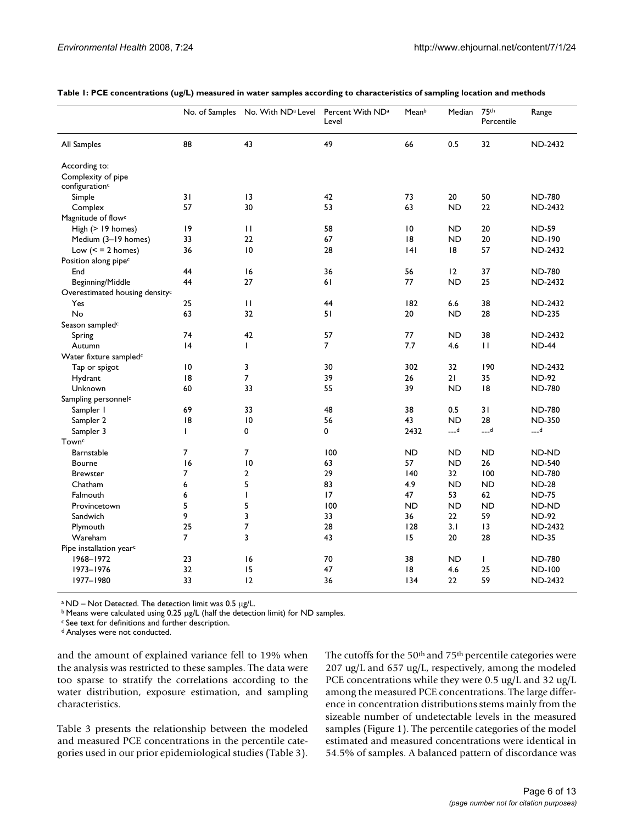|                                            | No. of Samples | No. With ND <sup>a</sup> Level | Percent With ND <sup>a</sup><br>Level | Meanb     | Median    | 75th<br>Percentile | Range          |
|--------------------------------------------|----------------|--------------------------------|---------------------------------------|-----------|-----------|--------------------|----------------|
| All Samples                                | 88             | 43                             | 49                                    | 66        | 0.5       | 32                 | <b>ND-2432</b> |
| According to:                              |                |                                |                                       |           |           |                    |                |
| Complexity of pipe                         |                |                                |                                       |           |           |                    |                |
| configuration <sup>c</sup>                 |                |                                |                                       |           |           |                    |                |
| Simple                                     | 31             | $\overline{13}$                | 42                                    | 73        | 20        | 50                 | <b>ND-780</b>  |
| Complex                                    | 57             | 30                             | 53                                    | 63        | <b>ND</b> | 22                 | <b>ND-2432</b> |
| Magnitude of flow <sup>c</sup>             |                |                                |                                       |           |           |                    |                |
| High (> 19 homes)                          | 9              | $\mathbf{H}$                   | 58                                    | 10        | <b>ND</b> | 20                 | <b>ND-59</b>   |
| Medium (3-19 homes)                        | 33             | 22                             | 67                                    | 18        | ND.       | 20                 | <b>ND-190</b>  |
| Low $(<$ = 2 homes)                        | 36             | 10                             | 28                                    | 4         | 18        | 57                 | <b>ND-2432</b> |
| Position along pipec                       |                |                                |                                       |           |           |                    |                |
| End                                        | 44             | 16                             | 36                                    | 56        | 12        | 37                 | <b>ND-780</b>  |
| Beginning/Middle                           | 44             | 27                             | 61                                    | 77        | <b>ND</b> | 25                 | <b>ND-2432</b> |
| Overestimated housing density <sup>c</sup> |                |                                |                                       |           |           |                    |                |
| Yes                                        | 25             | $\mathbf{H}$                   | 44                                    | 182       | 6.6       | 38                 | <b>ND-2432</b> |
| No                                         | 63             | 32                             | 51                                    | 20        | <b>ND</b> | 28                 | <b>ND-235</b>  |
| Season sampled <sup>c</sup>                |                |                                |                                       |           |           |                    |                |
| Spring                                     | 74             | 42                             | 57                                    | 77        | ND.       | 38                 | <b>ND-2432</b> |
| Autumn                                     | 4              | $\mathbf{I}$                   | 7                                     | 7.7       | 4.6       | $\mathbf{H}$       | <b>ND-44</b>   |
| Water fixture sampled <sup>c</sup>         |                |                                |                                       |           |           |                    |                |
| Tap or spigot                              | 10             | 3                              | 30                                    | 302       | 32        | 190                | <b>ND-2432</b> |
| Hydrant                                    | 8              | $\overline{7}$                 | 39                                    | 26        | 21        | 35                 | <b>ND-92</b>   |
| Unknown                                    | 60             | 33                             | 55                                    | 39        | <b>ND</b> | 8                  | <b>ND-780</b>  |
| Sampling personnel <sup>c</sup>            |                |                                |                                       |           |           |                    |                |
| Sampler I                                  | 69             | 33                             | 48                                    | 38        | 0.5       | 31                 | <b>ND-780</b>  |
| Sampler 2                                  | 8              | 10                             | 56                                    | 43        | <b>ND</b> | 28                 | <b>ND-350</b>  |
| Sampler 3                                  | $\mathbf{I}$   | 0                              | 0                                     | 2432      | $L_{-}d$  | <b>ه___</b>        | ہ___           |
| Town <sup>c</sup>                          |                |                                |                                       |           |           |                    |                |
| Barnstable                                 | 7              | 7                              | 100                                   | <b>ND</b> | ND        | <b>ND</b>          | ND-ND          |
| Bourne                                     | 16             | 10                             | 63                                    | 57        | <b>ND</b> | 26                 | <b>ND-540</b>  |
| <b>Brewster</b>                            | 7              | $\overline{2}$                 | 29                                    | 140       | 32        | 100                | <b>ND-780</b>  |
| Chatham                                    | 6              | 5                              | 83                                    | 4.9       | <b>ND</b> | <b>ND</b>          | <b>ND-28</b>   |
| Falmouth                                   | 6              | $\mathbf{I}$                   | 17                                    | 47        | 53        | 62                 | <b>ND-75</b>   |
| Provincetown                               | 5              | 5                              | 100                                   | <b>ND</b> | <b>ND</b> | <b>ND</b>          | ND-ND          |
| Sandwich                                   | 9              | 3                              | 33                                    | 36        | 22        | 59                 | <b>ND-92</b>   |
| Plymouth                                   | 25             | $\overline{\mathcal{I}}$       | 28                                    | 128       | 3.1       | $\overline{13}$    | <b>ND-2432</b> |
| Wareham                                    | 7              | 3                              | 43                                    | 15        | 20        | 28                 | <b>ND-35</b>   |
| Pipe installation year <sup>c</sup>        |                |                                |                                       |           |           |                    |                |
| 1968-1972                                  | 23             | 16                             | 70                                    | 38        | ND        | $\mathbf{I}$       | <b>ND-780</b>  |
| 1973-1976                                  | 32             | 15                             | 47                                    | 8         | 4.6       | 25                 | <b>ND-100</b>  |
| 1977-1980                                  | 33             | 12                             | 36                                    | 134       | 22        | 59                 | <b>ND-2432</b> |

**Table 1: PCE concentrations (ug/L) measured in water samples according to characteristics of sampling location and methods**

a ND – Not Detected. The detection limit was 0.5 μg/L.

b Means were calculated using 0.25 μg/L (half the detection limit) for ND samples.

c See text for definitions and further description.

d Analyses were not conducted.

and the amount of explained variance fell to 19% when the analysis was restricted to these samples. The data were too sparse to stratify the correlations according to the water distribution, exposure estimation, and sampling characteristics.

Table 3 presents the relationship between the modeled and measured PCE concentrations in the percentile categories used in our prior epidemiological studies (Table 3). The cutoffs for the 50<sup>th</sup> and 75<sup>th</sup> percentile categories were 207 ug/L and 657 ug/L, respectively, among the modeled PCE concentrations while they were 0.5 ug/L and 32 ug/L among the measured PCE concentrations. The large difference in concentration distributions stems mainly from the sizeable number of undetectable levels in the measured samples (Figure 1). The percentile categories of the model estimated and measured concentrations were identical in 54.5% of samples. A balanced pattern of discordance was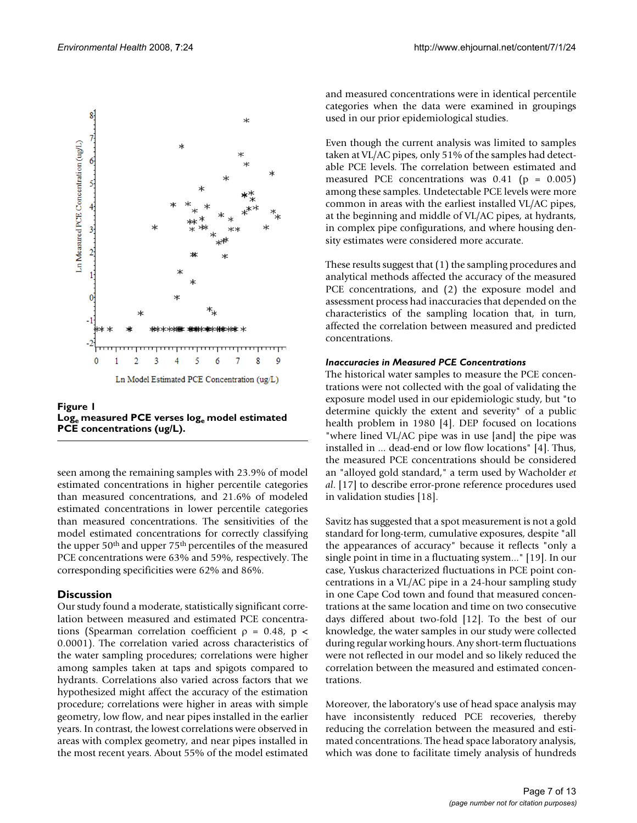

Figure 1 Log<sub>e</sub> measured PCE verses loge model estimated **PCE concentrations (ug/L).**

seen among the remaining samples with 23.9% of model estimated concentrations in higher percentile categories than measured concentrations, and 21.6% of modeled estimated concentrations in lower percentile categories than measured concentrations. The sensitivities of the model estimated concentrations for correctly classifying the upper 50th and upper 75th percentiles of the measured PCE concentrations were 63% and 59%, respectively. The corresponding specificities were 62% and 86%.

# **Discussion**

Our study found a moderate, statistically significant correlation between measured and estimated PCE concentrations (Spearman correlation coefficient  $\rho = 0.48$ ,  $p <$ 0.0001). The correlation varied across characteristics of the water sampling procedures; correlations were higher among samples taken at taps and spigots compared to hydrants. Correlations also varied across factors that we hypothesized might affect the accuracy of the estimation procedure; correlations were higher in areas with simple geometry, low flow, and near pipes installed in the earlier years. In contrast, the lowest correlations were observed in areas with complex geometry, and near pipes installed in the most recent years. About 55% of the model estimated and measured concentrations were in identical percentile categories when the data were examined in groupings used in our prior epidemiological studies.

Even though the current analysis was limited to samples taken at VL/AC pipes, only 51% of the samples had detectable PCE levels. The correlation between estimated and measured PCE concentrations was  $0.41$  (p = 0.005) among these samples. Undetectable PCE levels were more common in areas with the earliest installed VL/AC pipes, at the beginning and middle of VL/AC pipes, at hydrants, in complex pipe configurations, and where housing density estimates were considered more accurate.

These results suggest that (1) the sampling procedures and analytical methods affected the accuracy of the measured PCE concentrations, and (2) the exposure model and assessment process had inaccuracies that depended on the characteristics of the sampling location that, in turn, affected the correlation between measured and predicted concentrations.

## *Inaccuracies in Measured PCE Concentrations*

The historical water samples to measure the PCE concentrations were not collected with the goal of validating the exposure model used in our epidemiologic study, but "to determine quickly the extent and severity" of a public health problem in 1980 [4]. DEP focused on locations "where lined VL/AC pipe was in use [and] the pipe was installed in ... dead-end or low flow locations" [4]. Thus, the measured PCE concentrations should be considered an "alloyed gold standard," a term used by Wacholder *et al*. [17] to describe error-prone reference procedures used in validation studies [18].

Savitz has suggested that a spot measurement is not a gold standard for long-term, cumulative exposures, despite "all the appearances of accuracy" because it reflects "only a single point in time in a fluctuating system..." [19]. In our case, Yuskus characterized fluctuations in PCE point concentrations in a VL/AC pipe in a 24-hour sampling study in one Cape Cod town and found that measured concentrations at the same location and time on two consecutive days differed about two-fold [12]. To the best of our knowledge, the water samples in our study were collected during regular working hours. Any short-term fluctuations were not reflected in our model and so likely reduced the correlation between the measured and estimated concentrations.

Moreover, the laboratory's use of head space analysis may have inconsistently reduced PCE recoveries, thereby reducing the correlation between the measured and estimated concentrations. The head space laboratory analysis, which was done to facilitate timely analysis of hundreds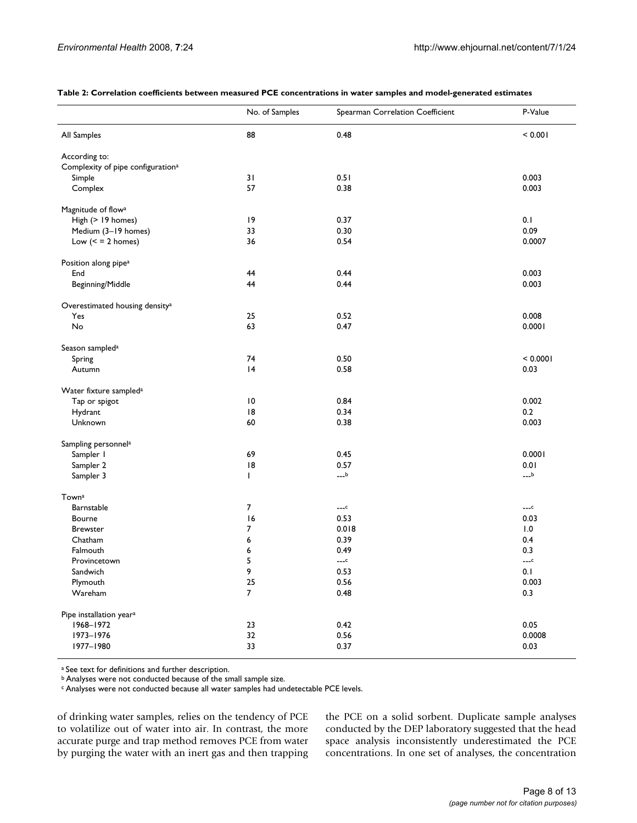#### **Table 2: Correlation coefficients between measured PCE concentrations in water samples and model-generated estimates**

|                                               | No. of Samples  | Spearman Correlation Coefficient | P-Value  |  |
|-----------------------------------------------|-----------------|----------------------------------|----------|--|
| All Samples                                   | 88              | 0.48                             | < 0.001  |  |
| According to:                                 |                 |                                  |          |  |
| Complexity of pipe configuration <sup>a</sup> |                 |                                  |          |  |
| Simple                                        | 31              | 0.51                             | 0.003    |  |
| Complex                                       | 57              | 0.38                             | 0.003    |  |
| Magnitude of flow <sup>a</sup>                |                 |                                  |          |  |
| High (> 19 homes)                             | 19              | 0.37                             | 0.1      |  |
| Medium (3-19 homes)                           | 33              | 0.30                             | 0.09     |  |
| Low $(2 homes)$                               | 36              | 0.54                             | 0.0007   |  |
| Position along pipe <sup>a</sup>              |                 |                                  |          |  |
| End                                           | 44              | 0.44                             | 0.003    |  |
| Beginning/Middle                              | 44              | 0.44                             | 0.003    |  |
| Overestimated housing density <sup>a</sup>    |                 |                                  |          |  |
| Yes                                           | 25              | 0.52                             | 0.008    |  |
| No                                            | 63              | 0.47                             | 0.0001   |  |
| Season sampled <sup>a</sup>                   |                 |                                  |          |  |
| Spring                                        | 74              | 0.50                             | < 0.0001 |  |
| Autumn                                        | 4               | 0.58                             | 0.03     |  |
| Water fixture sampled <sup>a</sup>            |                 |                                  |          |  |
| Tap or spigot                                 | $\overline{10}$ | 0.84                             | 0.002    |  |
| Hydrant                                       | 8               | 0.34                             | 0.2      |  |
| Unknown                                       | 60              | 0.38                             | 0.003    |  |
| Sampling personnel <sup>a</sup>               |                 |                                  |          |  |
| Sampler I                                     | 69              | 0.45                             | 0.0001   |  |
| Sampler 2                                     | 8               | 0.57                             | 0.01     |  |
| Sampler 3                                     | T               | $---b$                           | $---b$   |  |
| Towna                                         |                 |                                  |          |  |
| Barnstable                                    | 7               | $---c$                           | $---c$   |  |
| Bourne                                        | 16              | 0.53                             | 0.03     |  |
| <b>Brewster</b>                               | 7               | 0.018                            | 1.0      |  |
| Chatham                                       | 6               | 0.39                             | 0.4      |  |
| Falmouth                                      | 6               | 0.49                             | 0.3      |  |
| Provincetown                                  | 5               | $---c$                           | $---c$   |  |
| Sandwich                                      | 9               | 0.53                             | 0.1      |  |
| Plymouth                                      | 25              | 0.56                             | 0.003    |  |
| Wareham                                       | $\overline{7}$  | 0.48                             | 0.3      |  |
| Pipe installation year <sup>a</sup>           |                 |                                  |          |  |
| 1968-1972                                     | 23              | 0.42                             | 0.05     |  |
| 1973-1976                                     | 32              | $0.56\,$                         | 0.0008   |  |
| 1977-1980                                     | 33              | 0.37                             | 0.03     |  |

a See text for definitions and further description.

b Analyses were not conducted because of the small sample size.

c Analyses were not conducted because all water samples had undetectable PCE levels.

of drinking water samples, relies on the tendency of PCE to volatilize out of water into air. In contrast, the more accurate purge and trap method removes PCE from water by purging the water with an inert gas and then trapping the PCE on a solid sorbent. Duplicate sample analyses conducted by the DEP laboratory suggested that the head space analysis inconsistently underestimated the PCE concentrations. In one set of analyses, the concentration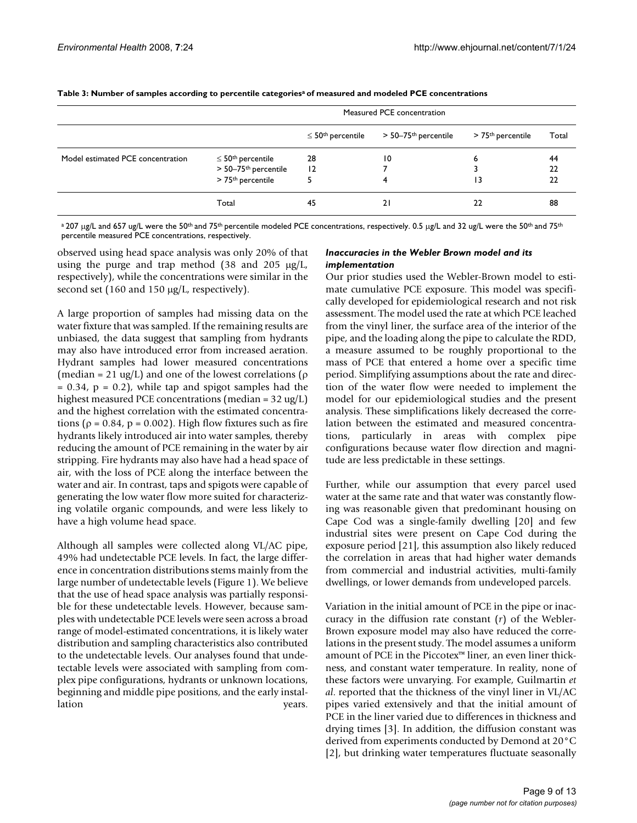|                                   | Measured PCE concentration       |                               |                      |                               |       |
|-----------------------------------|----------------------------------|-------------------------------|----------------------|-------------------------------|-------|
|                                   |                                  | $\leq 50^{\rm th}$ percentile | > 50–75th percentile | > 75 <sup>th</sup> percentile | Total |
| Model estimated PCE concentration | $\leq 50^{\text{th}}$ percentile | 28                            | 10                   | 6                             | 44    |
|                                   | > 50-75 <sup>th</sup> percentile | 12                            |                      |                               | 22    |
|                                   | > 75 <sup>th</sup> percentile    |                               | 4                    | 13                            | 22    |
|                                   | Total                            | 45                            | 21                   | 22                            | 88    |

**Table 3: Number of samples according to percentile categoriesa of measured and modeled PCE concentrations**

<sup>a</sup> 207 μg/L and 657 ug/L were the 50<sup>th</sup> and 75<sup>th</sup> percentile modeled PCE concentrations, respectively. 0.5 μg/L and 32 ug/L were the 50<sup>th</sup> and 75<sup>th</sup> percentile measured PCE concentrations, respectively.

observed using head space analysis was only 20% of that using the purge and trap method (38 and 205 μg/L, respectively), while the concentrations were similar in the second set (160 and 150 μg/L, respectively).

A large proportion of samples had missing data on the water fixture that was sampled. If the remaining results are unbiased, the data suggest that sampling from hydrants may also have introduced error from increased aeration. Hydrant samples had lower measured concentrations (median = 21 ug/L) and one of the lowest correlations ( $\rho$  $= 0.34$ ,  $p = 0.2$ ), while tap and spigot samples had the highest measured PCE concentrations (median = 32 ug/L) and the highest correlation with the estimated concentrations ( $\rho = 0.84$ ,  $p = 0.002$ ). High flow fixtures such as fire hydrants likely introduced air into water samples, thereby reducing the amount of PCE remaining in the water by air stripping. Fire hydrants may also have had a head space of air, with the loss of PCE along the interface between the water and air. In contrast, taps and spigots were capable of generating the low water flow more suited for characterizing volatile organic compounds, and were less likely to have a high volume head space.

Although all samples were collected along VL/AC pipe, 49% had undetectable PCE levels. In fact, the large difference in concentration distributions stems mainly from the large number of undetectable levels (Figure 1). We believe that the use of head space analysis was partially responsible for these undetectable levels. However, because samples with undetectable PCE levels were seen across a broad range of model-estimated concentrations, it is likely water distribution and sampling characteristics also contributed to the undetectable levels. Our analyses found that undetectable levels were associated with sampling from complex pipe configurations, hydrants or unknown locations, beginning and middle pipe positions, and the early installation years.

## *Inaccuracies in the Webler Brown model and its implementation*

Our prior studies used the Webler-Brown model to estimate cumulative PCE exposure. This model was specifically developed for epidemiological research and not risk assessment. The model used the rate at which PCE leached from the vinyl liner, the surface area of the interior of the pipe, and the loading along the pipe to calculate the RDD, a measure assumed to be roughly proportional to the mass of PCE that entered a home over a specific time period. Simplifying assumptions about the rate and direction of the water flow were needed to implement the model for our epidemiological studies and the present analysis. These simplifications likely decreased the correlation between the estimated and measured concentrations, particularly in areas with complex pipe configurations because water flow direction and magnitude are less predictable in these settings.

Further, while our assumption that every parcel used water at the same rate and that water was constantly flowing was reasonable given that predominant housing on Cape Cod was a single-family dwelling [20] and few industrial sites were present on Cape Cod during the exposure period [21], this assumption also likely reduced the correlation in areas that had higher water demands from commercial and industrial activities, multi-family dwellings, or lower demands from undeveloped parcels.

Variation in the initial amount of PCE in the pipe or inaccuracy in the diffusion rate constant (*r*) of the Webler-Brown exposure model may also have reduced the correlations in the present study. The model assumes a uniform amount of PCE in the Piccotex™ liner, an even liner thickness, and constant water temperature. In reality, none of these factors were unvarying. For example, Guilmartin *et al*. reported that the thickness of the vinyl liner in VL/AC pipes varied extensively and that the initial amount of PCE in the liner varied due to differences in thickness and drying times [3]. In addition, the diffusion constant was derived from experiments conducted by Demond at 20°C [2], but drinking water temperatures fluctuate seasonally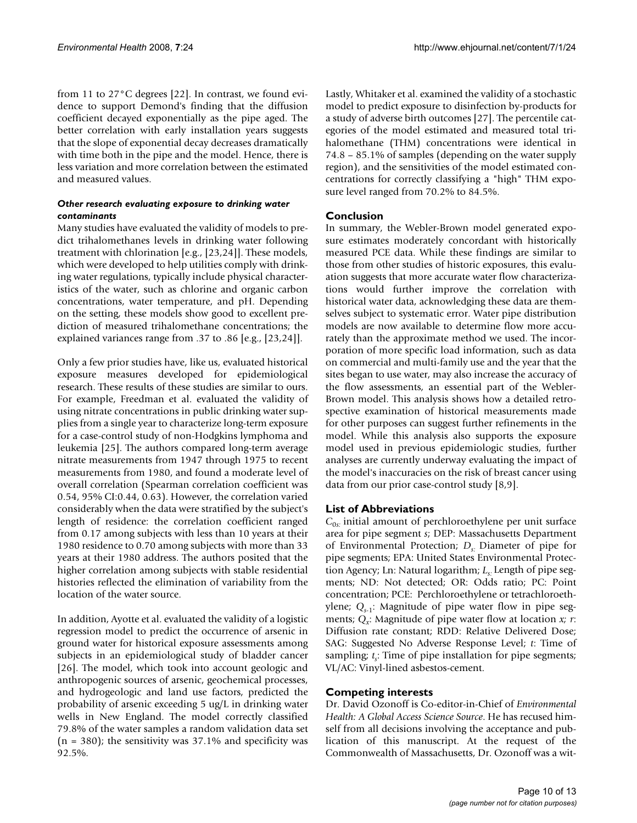from 11 to 27°C degrees [22]. In contrast, we found evidence to support Demond's finding that the diffusion coefficient decayed exponentially as the pipe aged. The better correlation with early installation years suggests that the slope of exponential decay decreases dramatically with time both in the pipe and the model. Hence, there is less variation and more correlation between the estimated and measured values.

# *Other research evaluating exposure to drinking water contaminants*

Many studies have evaluated the validity of models to predict trihalomethanes levels in drinking water following treatment with chlorination [e.g., [23,24]]. These models, which were developed to help utilities comply with drinking water regulations, typically include physical characteristics of the water, such as chlorine and organic carbon concentrations, water temperature, and pH. Depending on the setting, these models show good to excellent prediction of measured trihalomethane concentrations; the explained variances range from .37 to .86 [e.g., [23,24]].

Only a few prior studies have, like us, evaluated historical exposure measures developed for epidemiological research. These results of these studies are similar to ours. For example, Freedman et al. evaluated the validity of using nitrate concentrations in public drinking water supplies from a single year to characterize long-term exposure for a case-control study of non-Hodgkins lymphoma and leukemia [25]. The authors compared long-term average nitrate measurements from 1947 through 1975 to recent measurements from 1980, and found a moderate level of overall correlation (Spearman correlation coefficient was 0.54, 95% CI:0.44, 0.63). However, the correlation varied considerably when the data were stratified by the subject's length of residence: the correlation coefficient ranged from 0.17 among subjects with less than 10 years at their 1980 residence to 0.70 among subjects with more than 33 years at their 1980 address. The authors posited that the higher correlation among subjects with stable residential histories reflected the elimination of variability from the location of the water source.

In addition, Ayotte et al. evaluated the validity of a logistic regression model to predict the occurrence of arsenic in ground water for historical exposure assessments among subjects in an epidemiological study of bladder cancer [26]. The model, which took into account geologic and anthropogenic sources of arsenic, geochemical processes, and hydrogeologic and land use factors, predicted the probability of arsenic exceeding 5 ug/L in drinking water wells in New England. The model correctly classified 79.8% of the water samples a random validation data set  $(n = 380)$ ; the sensitivity was 37.1% and specificity was 92.5%.

Lastly, Whitaker et al. examined the validity of a stochastic model to predict exposure to disinfection by-products for a study of adverse birth outcomes [27]. The percentile categories of the model estimated and measured total trihalomethane (THM) concentrations were identical in 74.8 – 85.1% of samples (depending on the water supply region), and the sensitivities of the model estimated concentrations for correctly classifying a "high" THM exposure level ranged from 70.2% to 84.5%.

# **Conclusion**

In summary, the Webler-Brown model generated exposure estimates moderately concordant with historically measured PCE data. While these findings are similar to those from other studies of historic exposures, this evaluation suggests that more accurate water flow characterizations would further improve the correlation with historical water data, acknowledging these data are themselves subject to systematic error. Water pipe distribution models are now available to determine flow more accurately than the approximate method we used. The incorporation of more specific load information, such as data on commercial and multi-family use and the year that the sites began to use water, may also increase the accuracy of the flow assessments, an essential part of the Webler-Brown model. This analysis shows how a detailed retrospective examination of historical measurements made for other purposes can suggest further refinements in the model. While this analysis also supports the exposure model used in previous epidemiologic studies, further analyses are currently underway evaluating the impact of the model's inaccuracies on the risk of breast cancer using data from our prior case-control study [8,9].

# **List of Abbreviations**

*C*0*s:* initial amount of perchloroethylene per unit surface area for pipe segment *s*; DEP: Massachusetts Department of Environmental Protection; *Ds:* Diameter of pipe for pipe segments; EPA: United States Environmental Protection Agency; Ln: Natural logarithm; L<sub>s:</sub> Length of pipe segments; ND: Not detected; OR: Odds ratio; PC: Point concentration; PCE: Perchloroethylene or tetrachloroethylene; Q<sub>s-1</sub>: Magnitude of pipe water flow in pipe segments;  $Q_x$ : Magnitude of pipe water flow at location *x*; *r*: Diffusion rate constant; RDD: Relative Delivered Dose; SAG: Suggested No Adverse Response Level; *t*: Time of sampling; *t<sub>s</sub>*: Time of pipe installation for pipe segments; VL/AC: Vinyl-lined asbestos-cement.

# **Competing interests**

Dr. David Ozonoff is Co-editor-in-Chief of *Environmental Health: A Global Access Science Source*. He has recused himself from all decisions involving the acceptance and publication of this manuscript. At the request of the Commonwealth of Massachusetts, Dr. Ozonoff was a wit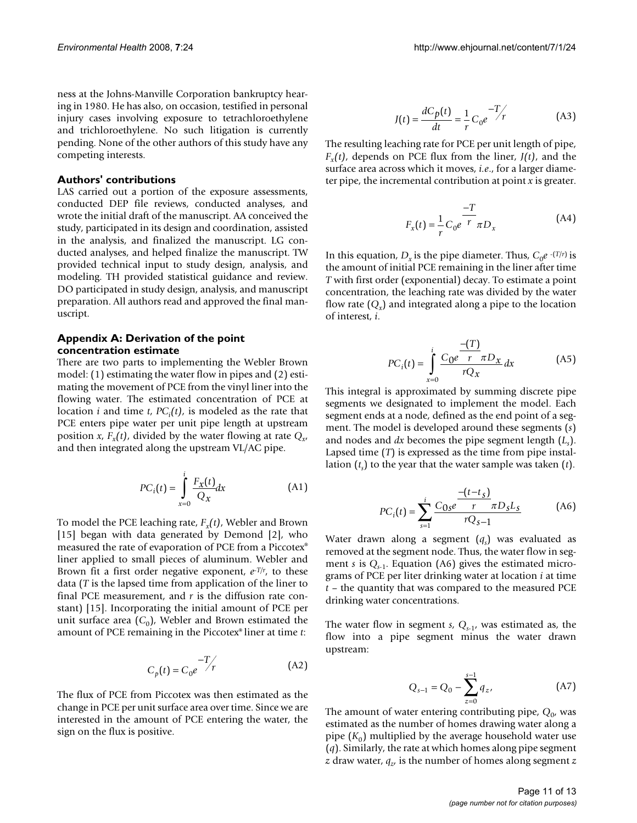ness at the Johns-Manville Corporation bankruptcy hearing in 1980. He has also, on occasion, testified in personal injury cases involving exposure to tetrachloroethylene and trichloroethylene. No such litigation is currently pending. None of the other authors of this study have any competing interests.

#### **Authors' contributions**

LAS carried out a portion of the exposure assessments, conducted DEP file reviews, conducted analyses, and wrote the initial draft of the manuscript. AA conceived the study, participated in its design and coordination, assisted in the analysis, and finalized the manuscript. LG conducted analyses, and helped finalize the manuscript. TW provided technical input to study design, analysis, and modeling. TH provided statistical guidance and review. DO participated in study design, analysis, and manuscript preparation. All authors read and approved the final manuscript.

### **Appendix A: Derivation of the point concentration estimate**

There are two parts to implementing the Webler Brown model: (1) estimating the water flow in pipes and (2) estimating the movement of PCE from the vinyl liner into the flowing water. The estimated concentration of PCE at location *i* and time *t*, *PCi (t)*, is modeled as the rate that PCE enters pipe water per unit pipe length at upstream position *x*,  $F_r(t)$ , divided by the water flowing at rate  $Q_{r}$ and then integrated along the upstream VL/AC pipe.

$$
PC_i(t) = \int_{x=0}^{i} \frac{F_X(t)}{Q_X} dx
$$
 (A1)

To model the PCE leaching rate,  $F_r(t)$ , Webler and Brown [15] began with data generated by Demond [2], who measured the rate of evaporation of PCE from a Piccotex® liner applied to small pieces of aluminum. Webler and Brown fit a first order negative exponent, *e*-*T/r*, to these data (*T* is the lapsed time from application of the liner to final PCE measurement, and *r* is the diffusion rate constant) [15]. Incorporating the initial amount of PCE per unit surface area  $(C_0)$ , Webler and Brown estimated the amount of PCE remaining in the Piccotex® liner at time *t*:

$$
C_p(t) = C_0 e^{-T/r}
$$
 (A2)

The flux of PCE from Piccotex was then estimated as the change in PCE per unit surface area over time. Since we are interested in the amount of PCE entering the water, the sign on the flux is positive.

$$
J(t) = \frac{dC_p(t)}{dt} = \frac{1}{r} C_0 e^{-T/r}
$$
 (A3)

The resulting leaching rate for PCE per unit length of pipe,  $F_r(t)$ , depends on PCE flux from the liner,  $J(t)$ , and the surface area across which it moves, *i.e*., for a larger diameter pipe, the incremental contribution at point *x* is greater.

$$
F_x(t) = \frac{1}{r} C_0 e^{-\frac{t}{r}} \pi D_x
$$
 (A4)

In this equation,  $D_x$  is the pipe diameter. Thus,  $C_0e^{-(T/r)}$  is the amount of initial PCE remaining in the liner after time *T* with first order (exponential) decay. To estimate a point concentration, the leaching rate was divided by the water flow rate  $(Q_x)$  and integrated along a pipe to the location of interest, *i*.

$$
PC_i(t) = \int_{x=0}^{i} \frac{C_0 e^{-\frac{(T)}{T}} \pi D_x}{rQ_x} dx
$$
 (A5)

This integral is approximated by summing discrete pipe segments we designated to implement the model. Each segment ends at a node, defined as the end point of a segment. The model is developed around these segments (*s*) and nodes and *dx* becomes the pipe segment length (*Ls* ). Lapsed time (*T*) is expressed as the time from pipe installation  $(t<sub>s</sub>)$  to the year that the water sample was taken  $(t)$ .

$$
PC_i(t) = \sum_{s=1}^{i} \frac{C_{0s}e^{\frac{-(t-t_s)}{r}} \pi D_s L_s}{rQ_{s-1}}
$$
 (A6)

Water drawn along a segment (*qs* ) was evaluated as removed at the segment node. Thus, the water flow in segment *s* is  $Q_{s-1}$ . Equation (A6) gives the estimated micrograms of PCE per liter drinking water at location *i* at time *t* – the quantity that was compared to the measured PCE drinking water concentrations.

The water flow in segment  $s$ ,  $Q_{s-1}$ , was estimated as, the flow into a pipe segment minus the water drawn upstream:

$$
Q_{s-1} = Q_0 - \sum_{z=0}^{s-1} q_z,
$$
 (A7)

The amount of water entering contributing pipe,  $Q_0$ , was estimated as the number of homes drawing water along a pipe  $(K_0)$  multiplied by the average household water use (*q*). Similarly, the rate at which homes along pipe segment *z* draw water,  $q_z$ , is the number of homes along segment *z*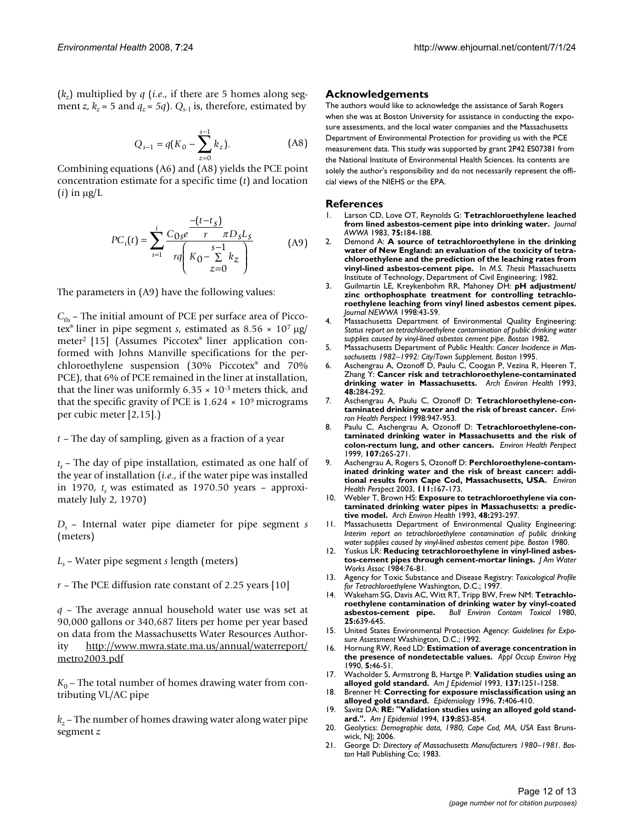(*kz*) multiplied by *q* (*i.e*., if there are 5 homes along segment *z*,  $k_z = 5$  and  $q_z = 5q$ .  $Q_{s-1}$  is, therefore, estimated by

$$
Q_{s-1} = q(K_0 - \sum_{z=0}^{s-1} k_z).
$$
 (A8)

Combining equations (A6) and (A8) yields the PCE point concentration estimate for a specific time (*t*) and location (*i*) in μg/L

$$
PC_i(t) = \sum_{s=1}^{i} \frac{C_{0s}e^{\frac{-(t-t_s)}{r}} \pi D_s L_s}{rq\left(K_0 - \sum_{z=0}^{s-1} k_z\right)}
$$
(A9)

The parameters in (A9) have the following values:

 $C_{0s}$  – The initial amount of PCE per surface area of Piccotex® liner in pipe segment *s*, estimated as 8.56 × 107 μg/ meter2 [15] (Assumes Piccotex® liner application conformed with Johns Manville specifications for the perchloroethylene suspension (30% Piccotex® and 70% PCE), that 6% of PCE remained in the liner at installation, that the liner was uniformly  $6.35 \times 10^{-3}$  meters thick, and that the specific gravity of PCE is  $1.624 \times 10^9$  micrograms per cubic meter [2,15].)

*t* – The day of sampling, given as a fraction of a year

 $t_s$  – The day of pipe installation, estimated as one half of the year of installation (*i.e*., if the water pipe was installed in 1970,  $t<sub>s</sub>$  was estimated as 1970.50 years – approximately July 2, 1970)

*Ds* – Internal water pipe diameter for pipe segment *s* (meters)

- *Ls*  Water pipe segment *s* length (meters)
- *r*  The PCE diffusion rate constant of 2.25 years [10]

*q* – The average annual household water use was set at 90,000 gallons or 340,687 liters per home per year based on data from the Massachusetts Water Resources Authority [http://www.mwra.state.ma.us/annual/waterreport/](http://www.mwra.state.ma.us/annual/waterreport/metro2003.pdf) [metro2003.pdf](http://www.mwra.state.ma.us/annual/waterreport/metro2003.pdf)

 $K_0$  – The total number of homes drawing water from contributing VL/AC pipe

 $k_z$  – The number of homes drawing water along water pipe segment *z*

#### **Acknowledgements**

The authors would like to acknowledge the assistance of Sarah Rogers when she was at Boston University for assistance in conducting the exposure assessments, and the local water companies and the Massachusetts Department of Environmental Protection for providing us with the PCE measurement data. This study was supported by grant 2P42 ES07381 from the National Institute of Environmental Health Sciences. Its contents are solely the author's responsibility and do not necessarily represent the official views of the NIEHS or the EPA.

#### **References**

- Larson CD, Love OT, Reynolds G: Tetrachloroethylene leached **from lined asbestos-cement pipe into drinking water.** *Journal AWWA* 1983, **75:**184-188.
- 2. Demond A: **A source of tetrachloroethylene in the drinking water of New England: an evaluation of the toxicity of tetrachloroethylene and the prediction of the leaching rates from vinyl-lined asbestos-cement pipe.** In *M.S. Thesis* Massachusetts Institute of Technology, Department of Civil Engineering; 1982.
- 3. Guilmartin LE, Kreykenbohm RR, Mahoney DH: **pH adjustment/ zinc orthophosphate treatment for controlling tetrachloroethylene leaching from vinyl lined asbestos cement pipes.** *Journal NEWWA* 1998:43-59.
- 4. Massachusetts Department of Environmental Quality Engineering: *Status report on tetrachloroethylene contamination of public drinking water supplies caused by vinyl-lined asbestos cement pipe. Boston* 1982.
- 5. Massachusetts Department of Public Health: *Cancer Incidence in Massachusetts 1982–1992: City/Town Supplement. Boston* 1995.
- 6. Aschengrau A, Ozonoff D, Paulu C, Coogan P, Vezina R, Heeren T, Zhang Y: **[Cancer risk and tetrachloroethylene-contaminated](http://www.ncbi.nlm.nih.gov/entrez/query.fcgi?cmd=Retrieve&db=PubMed&dopt=Abstract&list_uids=8215591) [drinking water in Massachusetts.](http://www.ncbi.nlm.nih.gov/entrez/query.fcgi?cmd=Retrieve&db=PubMed&dopt=Abstract&list_uids=8215591)** *Arch Environ Health* 1993, **48:**284-292.
- 7. Aschengrau A, Paulu C, Ozonoff D: **Tetrachloroethylene-contaminated drinking water and the risk of breast cancer.** *Environ Health Perspect* 1998:947-953.
- 8. Paulu C, Aschengrau A, Ozonoff D: **[Tetrachloroethylene-con](http://www.ncbi.nlm.nih.gov/entrez/query.fcgi?cmd=Retrieve&db=PubMed&dopt=Abstract&list_uids=10090704)[taminated drinking water in Massachusetts and the risk of](http://www.ncbi.nlm.nih.gov/entrez/query.fcgi?cmd=Retrieve&db=PubMed&dopt=Abstract&list_uids=10090704) [colon-rectum lung, and other cancers.](http://www.ncbi.nlm.nih.gov/entrez/query.fcgi?cmd=Retrieve&db=PubMed&dopt=Abstract&list_uids=10090704)** *Environ Health Perspect* 1999, **107:**265-271.
- 9. Aschengrau A, Rogers S, Ozonoff D: **[Perchloroethylene-contam](http://www.ncbi.nlm.nih.gov/entrez/query.fcgi?cmd=Retrieve&db=PubMed&dopt=Abstract&list_uids=12573900)[inated drinking water and the risk of breast cancer: addi](http://www.ncbi.nlm.nih.gov/entrez/query.fcgi?cmd=Retrieve&db=PubMed&dopt=Abstract&list_uids=12573900)[tional results from Cape Cod, Massachusetts, USA.](http://www.ncbi.nlm.nih.gov/entrez/query.fcgi?cmd=Retrieve&db=PubMed&dopt=Abstract&list_uids=12573900)** *Environ Health Perspect* 2003, **111:**167-173.
- 10. Webler T, Brown HS: **[Exposure to tetrachloroethylene via con](http://www.ncbi.nlm.nih.gov/entrez/query.fcgi?cmd=Retrieve&db=PubMed&dopt=Abstract&list_uids=8215592)[taminated drinking water pipes in Massachusetts: a predic](http://www.ncbi.nlm.nih.gov/entrez/query.fcgi?cmd=Retrieve&db=PubMed&dopt=Abstract&list_uids=8215592)[tive model.](http://www.ncbi.nlm.nih.gov/entrez/query.fcgi?cmd=Retrieve&db=PubMed&dopt=Abstract&list_uids=8215592)** *Arch Environ Health* 1993, **48:**293-297.
- 11. Massachusetts Department of Environmental Quality Engineering: *Interim report on tetrachloroethylene contamination of public drinking water supplies caused by vinyl-lined asbestos cement pipe. Boston* 1980.
- 12. Yuskus LR: **Reducing tetrachloroethylene in vinyl-lined asbestos-cement pipes through cement-mortar linings.** *J Am Water Works Assoc* 1984:76-81.
- 13. Agency for Toxic Substance and Disease Registry: *Toxicological Profile for Tetrachloroethylene* Washington, D.C.; 1997.
- 14. Wakeham SG, Davis AC, Witt RT, Tripp BW, Frew NM: **[Tetrachlo](http://www.ncbi.nlm.nih.gov/entrez/query.fcgi?cmd=Retrieve&db=PubMed&dopt=Abstract&list_uids=7437568)[roethylene contamination of drinking water by vinyl-coated](http://www.ncbi.nlm.nih.gov/entrez/query.fcgi?cmd=Retrieve&db=PubMed&dopt=Abstract&list_uids=7437568) [asbestos-cement pipe.](http://www.ncbi.nlm.nih.gov/entrez/query.fcgi?cmd=Retrieve&db=PubMed&dopt=Abstract&list_uids=7437568)** *Bull Environ Contam Toxicol* 1980, **25:**639-645.
- 15. United States Environmental Protection Agency: *Guidelines for Exposure Assessment* Washington, D.C.; 1992.
- 16. Hornung RW, Reed LD: **Estimation of average concentration in the presence of nondetectable values.** *Appl Occup Environ Hyg* 1990, **5:**46-51.
- 17. Wacholder S, Armstrong B, Hartge P: **[Validation studies using an](http://www.ncbi.nlm.nih.gov/entrez/query.fcgi?cmd=Retrieve&db=PubMed&dopt=Abstract&list_uids=8322765) [alloyed gold standard.](http://www.ncbi.nlm.nih.gov/entrez/query.fcgi?cmd=Retrieve&db=PubMed&dopt=Abstract&list_uids=8322765)** *Am J Epidemiol* 1993, **137:**1251-1258.
- 18. Brenner H: **[Correcting for exposure misclassification using an](http://www.ncbi.nlm.nih.gov/entrez/query.fcgi?cmd=Retrieve&db=PubMed&dopt=Abstract&list_uids=8793367) [alloyed gold standard.](http://www.ncbi.nlm.nih.gov/entrez/query.fcgi?cmd=Retrieve&db=PubMed&dopt=Abstract&list_uids=8793367)** *Epidemiology* 1996, **7:**406-410.
- 19. Savitz DA: **[RE: "Validation studies using an alloyed gold stand](http://www.ncbi.nlm.nih.gov/entrez/query.fcgi?cmd=Retrieve&db=PubMed&dopt=Abstract&list_uids=8178797)[ard.".](http://www.ncbi.nlm.nih.gov/entrez/query.fcgi?cmd=Retrieve&db=PubMed&dopt=Abstract&list_uids=8178797)** *Am J Epidemiol* 1994, **139:**853-854.
- 20. Geolytics: *Demographic data, 1980, Cape Cod, MA, USA* East Brunswick, NJ; 2006.
- 21. George D: *Directory of Massachusetts Manufacturers 1980–1981. Boston* Hall Publishing Co; 1983.